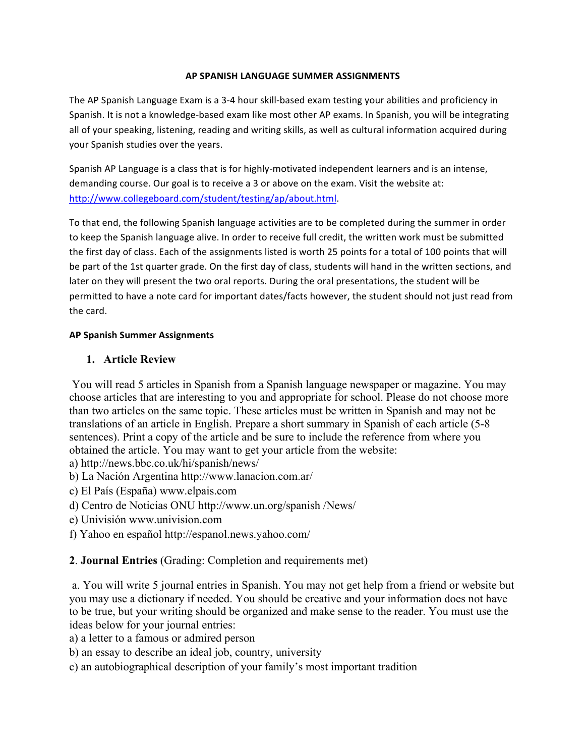#### **AP SPANISH LANGUAGE SUMMER ASSIGNMENTS**

The AP Spanish Language Exam is a 3-4 hour skill-based exam testing your abilities and proficiency in Spanish. It is not a knowledge-based exam like most other AP exams. In Spanish, you will be integrating all of your speaking, listening, reading and writing skills, as well as cultural information acquired during your Spanish studies over the years.

Spanish AP Language is a class that is for highly-motivated independent learners and is an intense, demanding course. Our goal is to receive a 3 or above on the exam. Visit the website at: http://www.collegeboard.com/student/testing/ap/about.html. 

To that end, the following Spanish language activities are to be completed during the summer in order to keep the Spanish language alive. In order to receive full credit, the written work must be submitted the first day of class. Each of the assignments listed is worth 25 points for a total of 100 points that will be part of the 1st quarter grade. On the first day of class, students will hand in the written sections, and later on they will present the two oral reports. During the oral presentations, the student will be permitted to have a note card for important dates/facts however, the student should not just read from the card.

#### **AP Spanish Summer Assignments**

### **1. Article Review**

You will read 5 articles in Spanish from a Spanish language newspaper or magazine. You may choose articles that are interesting to you and appropriate for school. Please do not choose more than two articles on the same topic. These articles must be written in Spanish and may not be translations of an article in English. Prepare a short summary in Spanish of each article (5-8 sentences). Print a copy of the article and be sure to include the reference from where you obtained the article. You may want to get your article from the website:

a) http://news.bbc.co.uk/hi/spanish/news/

- b) La Nación Argentina http://www.lanacion.com.ar/
- c) El País (España) www.elpais.com
- d) Centro de Noticias ONU http://www.un.org/spanish /News/
- e) Univisión www.univision.com
- f) Yahoo en español http://espanol.news.yahoo.com/

## **2**. **Journal Entries** (Grading: Completion and requirements met)

a. You will write 5 journal entries in Spanish. You may not get help from a friend or website but you may use a dictionary if needed. You should be creative and your information does not have to be true, but your writing should be organized and make sense to the reader. You must use the ideas below for your journal entries:

a) a letter to a famous or admired person

- b) an essay to describe an ideal job, country, university
- c) an autobiographical description of your family's most important tradition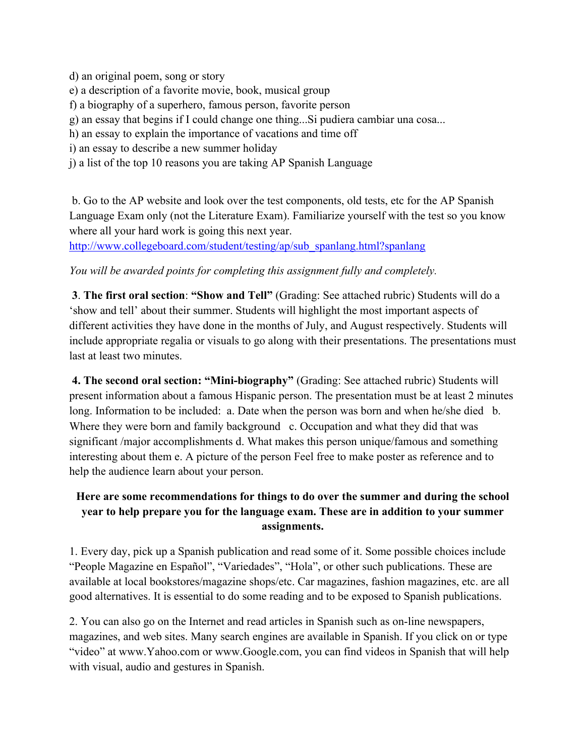d) an original poem, song or story e) a description of a favorite movie, book, musical group f) a biography of a superhero, famous person, favorite person g) an essay that begins if I could change one thing...Si pudiera cambiar una cosa... h) an essay to explain the importance of vacations and time off i) an essay to describe a new summer holiday j) a list of the top 10 reasons you are taking AP Spanish Language

b. Go to the AP website and look over the test components, old tests, etc for the AP Spanish Language Exam only (not the Literature Exam). Familiarize yourself with the test so you know where all your hard work is going this next year.

http://www.collegeboard.com/student/testing/ap/sub\_spanlang.html?spanlang

*You will be awarded points for completing this assignment fully and completely.*

**3**. **The first oral section**: **"Show and Tell"** (Grading: See attached rubric) Students will do a 'show and tell' about their summer. Students will highlight the most important aspects of different activities they have done in the months of July, and August respectively. Students will include appropriate regalia or visuals to go along with their presentations. The presentations must last at least two minutes.

**4. The second oral section: "Mini-biography"** (Grading: See attached rubric) Students will present information about a famous Hispanic person. The presentation must be at least 2 minutes long. Information to be included: a. Date when the person was born and when he/she died b. Where they were born and family background c. Occupation and what they did that was significant /major accomplishments d. What makes this person unique/famous and something interesting about them e. A picture of the person Feel free to make poster as reference and to help the audience learn about your person.

# **Here are some recommendations for things to do over the summer and during the school year to help prepare you for the language exam. These are in addition to your summer assignments.**

1. Every day, pick up a Spanish publication and read some of it. Some possible choices include "People Magazine en Español", "Variedades", "Hola", or other such publications. These are available at local bookstores/magazine shops/etc. Car magazines, fashion magazines, etc. are all good alternatives. It is essential to do some reading and to be exposed to Spanish publications.

2. You can also go on the Internet and read articles in Spanish such as on-line newspapers, magazines, and web sites. Many search engines are available in Spanish. If you click on or type "video" at www.Yahoo.com or www.Google.com, you can find videos in Spanish that will help with visual, audio and gestures in Spanish.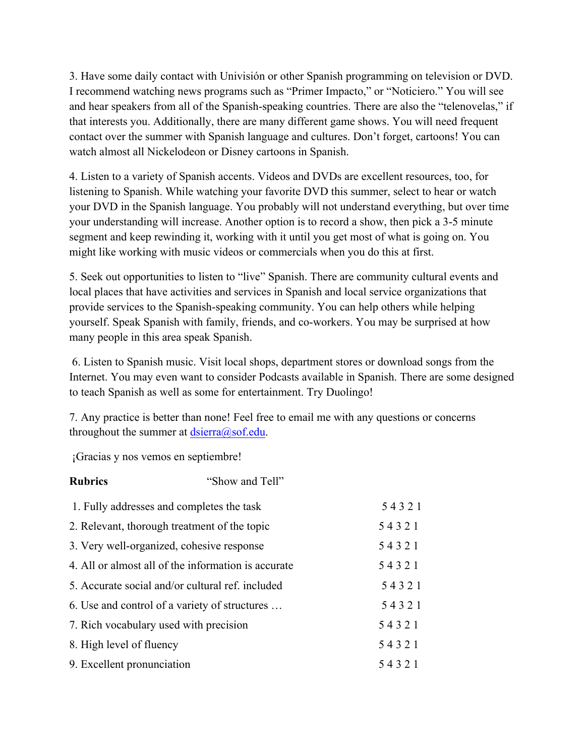3. Have some daily contact with Univisión or other Spanish programming on television or DVD. I recommend watching news programs such as "Primer Impacto," or "Noticiero." You will see and hear speakers from all of the Spanish-speaking countries. There are also the "telenovelas," if that interests you. Additionally, there are many different game shows. You will need frequent contact over the summer with Spanish language and cultures. Don't forget, cartoons! You can watch almost all Nickelodeon or Disney cartoons in Spanish.

4. Listen to a variety of Spanish accents. Videos and DVDs are excellent resources, too, for listening to Spanish. While watching your favorite DVD this summer, select to hear or watch your DVD in the Spanish language. You probably will not understand everything, but over time your understanding will increase. Another option is to record a show, then pick a 3-5 minute segment and keep rewinding it, working with it until you get most of what is going on. You might like working with music videos or commercials when you do this at first.

5. Seek out opportunities to listen to "live" Spanish. There are community cultural events and local places that have activities and services in Spanish and local service organizations that provide services to the Spanish-speaking community. You can help others while helping yourself. Speak Spanish with family, friends, and co-workers. You may be surprised at how many people in this area speak Spanish.

6. Listen to Spanish music. Visit local shops, department stores or download songs from the Internet. You may even want to consider Podcasts available in Spanish. There are some designed to teach Spanish as well as some for entertainment. Try Duolingo!

7. Any practice is better than none! Feel free to email me with any questions or concerns throughout the summer at  $diserra@sof.edu$ .

¡Gracias y nos vemos en septiembre!

| <b>Rubrics</b>                                      | "Show and Tell" |       |
|-----------------------------------------------------|-----------------|-------|
| 1. Fully addresses and completes the task           |                 | 54321 |
| 2. Relevant, thorough treatment of the topic        |                 | 54321 |
| 3. Very well-organized, cohesive response           |                 | 54321 |
| 4. All or almost all of the information is accurate |                 | 54321 |
| 5. Accurate social and/or cultural ref. included    |                 | 54321 |
| 6. Use and control of a variety of structures       |                 | 54321 |
| 7. Rich vocabulary used with precision              |                 | 54321 |
| 8. High level of fluency                            |                 | 54321 |
| 9. Excellent pronunciation                          |                 | 54321 |